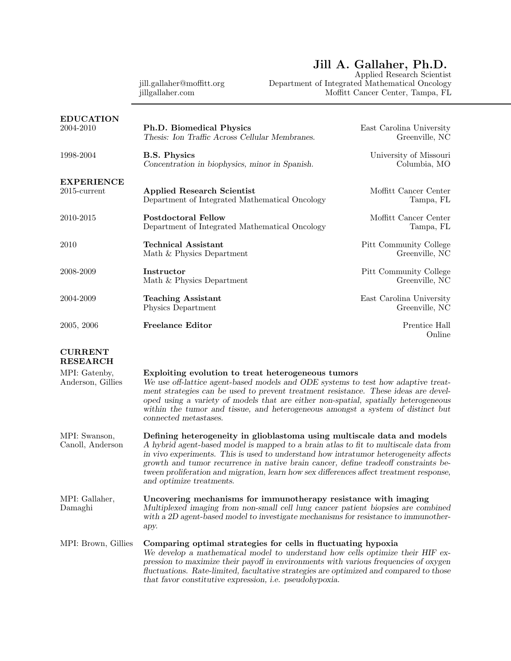## Jill A. Gallaher, Ph.D.

Online

Applied Research Scientist jill.gallaher@moffitt.org Department of Integrated Mathematical Oncology jillgallaher.com Moffitt Cancer Center, Tampa, FL

| <b>EDUCATION</b>                     |                                                                                   |                                            |
|--------------------------------------|-----------------------------------------------------------------------------------|--------------------------------------------|
| 2004-2010                            | <b>Ph.D. Biomedical Physics</b><br>Thesis: Ion Traffic Across Cellular Membranes. | East Carolina University<br>Greenville, NC |
| 1998-2004                            | <b>B.S. Physics</b><br>Concentration in biophysics, minor in Spanish.             | University of Missouri<br>Columbia, MO     |
| <b>EXPERIENCE</b><br>$2015$ -current | Applied Research Scientist<br>Department of Integrated Mathematical Oncology      | Moffitt Cancer Center<br>Tampa, FL         |
| 2010-2015                            | <b>Postdoctoral Fellow</b><br>Department of Integrated Mathematical Oncology      | Moffitt Cancer Center<br>Tampa, FL         |
| 2010                                 | <b>Technical Assistant</b><br>Math & Physics Department                           | Pitt Community College<br>Greenville, NC   |
| 2008-2009                            | <b>Instructor</b><br>Math & Physics Department                                    | Pitt Community College<br>Greenville, NC   |
| 2004-2009                            | <b>Teaching Assistant</b><br>Physics Department                                   | East Carolina University<br>Greenville, NC |
| 2005, 2006                           | <b>Freelance Editor</b>                                                           | Prentice Hall                              |

## **CURRENT** RESEARCH

| MPI: Gatenby,<br>Anderson, Gillies | Exploiting evolution to treat heterogeneous tumors<br>We use off-lattice agent-based models and ODE systems to test how adaptive treat-<br>ment strategies can be used to prevent treatment resistance. These ideas are devel-<br>oped using a variety of models that are either non-spatial, spatially heterogeneous<br>within the tumor and tissue, and heterogeneous amongst a system of distinct but<br>connected metastases.                                     |
|------------------------------------|-----------------------------------------------------------------------------------------------------------------------------------------------------------------------------------------------------------------------------------------------------------------------------------------------------------------------------------------------------------------------------------------------------------------------------------------------------------------------|
| MPI: Swanson,<br>Canoll, Anderson  | Defining heterogeneity in glioblastoma using multiscale data and models<br>A hybrid agent-based model is mapped to a brain atlas to fit to multiscale data from<br>in vivo experiments. This is used to understand how intratumor heterogeneity affects<br>growth and tumor recurrence in native brain cancer, define tradeoff constraints be-<br>tween proliferation and migration, learn how sex differences affect treatment response,<br>and optimize treatments. |
| MPI: Gallaher,<br>Damaghi          | Uncovering mechanisms for immunotherapy resistance with imaging<br>Multiplexed imaging from non-small cell lung cancer patient biopsies are combined<br>with a 2D agent-based model to investigate mechanisms for resistance to immunother-<br>apy.                                                                                                                                                                                                                   |
| MPI: Brown, Gillies                | Comparing optimal strategies for cells in fluctuating hypoxia<br>We develop a mathematical model to understand how cells optimize their HIF ex-<br>pression to maximize their payoff in environments with various frequencies of oxygen<br>fluctuations. Rate-limited, facultative strategies are optimized and compared to those<br>that favor constitutive expression, <i>i.e.</i> pseudohypoxia.                                                                   |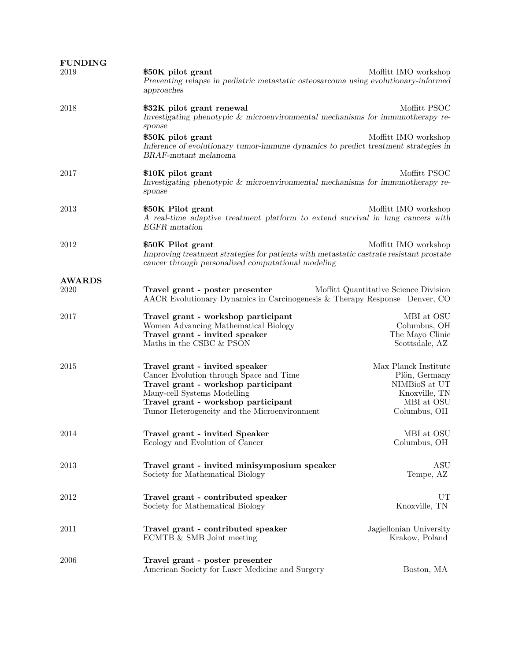| <b>FUNDING</b> |                                                                                                                                                                                                                                        |                                                                                                       |  |
|----------------|----------------------------------------------------------------------------------------------------------------------------------------------------------------------------------------------------------------------------------------|-------------------------------------------------------------------------------------------------------|--|
| 2019           | \$50K pilot grant<br>Preventing relapse in pediatric metastatic osteosarcoma using evolutionary-informed<br>approaches                                                                                                                 | Moffitt IMO workshop                                                                                  |  |
| 2018           | \$32K pilot grant renewal<br>Investigating phenotypic & microenvironmental mechanisms for immunotherapy re-<br>sponse                                                                                                                  | Moffitt PSOC                                                                                          |  |
|                | \$50K pilot grant<br>Inference of evolutionary tumor-immune dynamics to predict treatment strategies in<br>BRAF-mutant melanoma                                                                                                        | Moffitt IMO workshop                                                                                  |  |
| 2017           | \$10K pilot grant<br>Investigating phenotypic & microenvironmental mechanisms for immunotherapy re-<br>sponse                                                                                                                          | Moffitt PSOC                                                                                          |  |
| 2013           | \$50K Pilot grant<br>A real-time adaptive treatment platform to extend survival in lung cancers with<br>EGFR mutation                                                                                                                  | Moffitt IMO workshop                                                                                  |  |
| 2012           | \$50K Pilot grant<br>Improving treatment strategies for patients with metastatic castrate resistant prostate<br>cancer through personalized computational modeling                                                                     | Moffitt IMO workshop                                                                                  |  |
| <b>AWARDS</b>  |                                                                                                                                                                                                                                        |                                                                                                       |  |
| 2020           | Travel grant - poster presenter<br>Moffitt Quantitative Science Division<br>AACR Evolutionary Dynamics in Carcinogenesis & Therapy Response Denver, CO                                                                                 |                                                                                                       |  |
| 2017           | Travel grant - workshop participant<br>Women Advancing Mathematical Biology<br>Travel grant - invited speaker<br>Maths in the CSBC & PSON                                                                                              | MBI at OSU<br>Columbus, OH<br>The Mayo Clinic<br>Scottsdale, AZ                                       |  |
| 2015           | Travel grant - invited speaker<br>Cancer Evolution through Space and Time<br>Travel grant - workshop participant<br>Many-cell Systems Modelling<br>Travel grant - workshop participant<br>Tumor Heterogeneity and the Microenvironment | Max Planck Institute<br>Plön, Germany<br>NIMBioS at UT<br>Knoxville, TN<br>MBI at OSU<br>Columbus, OH |  |
| 2014           | Travel grant - invited Speaker<br>Ecology and Evolution of Cancer                                                                                                                                                                      | $\operatorname{MBI}$ at $\operatorname{OSU}$<br>Columbus, OH                                          |  |
| 2013           | Travel grant - invited minisymposium speaker<br>Society for Mathematical Biology                                                                                                                                                       | ASU<br>Tempe, AZ                                                                                      |  |
| 2012           | Travel grant - contributed speaker<br>Society for Mathematical Biology                                                                                                                                                                 | UT<br>Knoxville, TN                                                                                   |  |
| 2011           | Travel grant - contributed speaker<br>ECMTB $&$ SMB Joint meeting                                                                                                                                                                      | Jagiellonian University<br>Krakow, Poland                                                             |  |
| 2006           | Travel grant - poster presenter<br>American Society for Laser Medicine and Surgery                                                                                                                                                     | Boston, MA                                                                                            |  |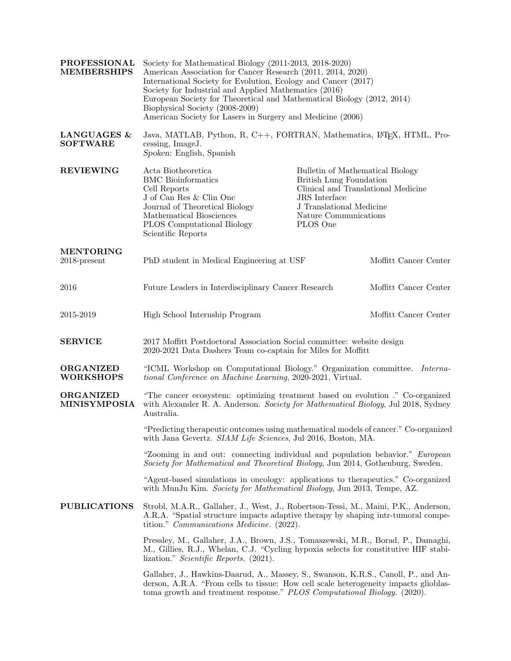| <b>PROFESSIONAL</b><br><b>MEMBERSHIPS</b>                                                                                                                    | Society for Mathematical Biology (2011-2013, 2018-2020)<br>American Association for Cancer Research (2011, 2014, 2020)<br>International Society for Evolution, Ecology and Cancer (2017)<br>Society for Industrial and Applied Mathematics (2016)<br>European Society for Theoretical and Mathematical Biology (2012, 2014)<br>Biophysical Society (2008-2009)<br>American Society for Lasers in Surgery and Medicine (2006) |                                                                                                                                                                                                    |                       |  |
|--------------------------------------------------------------------------------------------------------------------------------------------------------------|------------------------------------------------------------------------------------------------------------------------------------------------------------------------------------------------------------------------------------------------------------------------------------------------------------------------------------------------------------------------------------------------------------------------------|----------------------------------------------------------------------------------------------------------------------------------------------------------------------------------------------------|-----------------------|--|
| LANGUAGES &<br><b>SOFTWARE</b>                                                                                                                               | Java, MATLAB, Python, R, C++, FORTRAN, Mathematica, L <sup>A</sup> T <sub>E</sub> X, HTML, Pro-<br>cessing, ImageJ.<br>Spoken: English, Spanish                                                                                                                                                                                                                                                                              |                                                                                                                                                                                                    |                       |  |
| <b>REVIEWING</b>                                                                                                                                             | Acta Biotheoretica<br><b>BMC</b> Bioinformatics<br>Cell Reports<br>J of Can Res & Clin Onc<br>Journal of Theoretical Biology<br>Mathematical Biosciences<br><b>PLOS</b> Computational Biology<br>Scientific Reports                                                                                                                                                                                                          | Bulletin of Mathematical Biology<br><b>British Lung Foundation</b><br>Clinical and Translational Medicine<br><b>JRS</b> Interface<br>J Translational Medicine<br>Nature Communications<br>PLOS One |                       |  |
| <b>MENTORING</b><br>$2018$ -present                                                                                                                          | PhD student in Medical Engineering at USF                                                                                                                                                                                                                                                                                                                                                                                    | Moffitt Cancer Center                                                                                                                                                                              |                       |  |
| 2016                                                                                                                                                         | Future Leaders in Interdisciplinary Cancer Research                                                                                                                                                                                                                                                                                                                                                                          | Moffitt Cancer Center                                                                                                                                                                              |                       |  |
| 2015-2019                                                                                                                                                    | High School Internship Program                                                                                                                                                                                                                                                                                                                                                                                               |                                                                                                                                                                                                    | Moffitt Cancer Center |  |
| <b>SERVICE</b>                                                                                                                                               | 2017 Moffitt Postdoctoral Association Social committee: website design<br>2020-2021 Data Dashers Team co-captain for Miles for Moffitt                                                                                                                                                                                                                                                                                       |                                                                                                                                                                                                    |                       |  |
| <b>ORGANIZED</b><br><b>WORKSHOPS</b>                                                                                                                         | "ICML Workshop on Computational Biology." Organization committee. Interna-<br>tional Conference on Machine Learning, 2020-2021, Virtual.                                                                                                                                                                                                                                                                                     |                                                                                                                                                                                                    |                       |  |
| <b>ORGANIZED</b><br><b>MINISYMPOSIA</b>                                                                                                                      | "The cancer ecosystem: optimizing treatment based on evolution". Co-organized<br>with Alexander R. A. Anderson. Society for Mathematical Biology, Jul 2018, Sydney<br>Australia.                                                                                                                                                                                                                                             |                                                                                                                                                                                                    |                       |  |
|                                                                                                                                                              | "Predicting the rapeutic outcomes using mathematical models of cancer." Co-organized<br>with Jana Gevertz. SIAM Life Sciences, Jul 2016, Boston, MA.                                                                                                                                                                                                                                                                         |                                                                                                                                                                                                    |                       |  |
|                                                                                                                                                              | "Zooming in and out: connecting individual and population behavior." <i>European</i><br>Society for Mathematical and Theoretical Biology, Jun 2014, Gothenburg, Sweden.                                                                                                                                                                                                                                                      |                                                                                                                                                                                                    |                       |  |
| "Agent-based simulations in oncology: applications to the rapeutics." Co-organized<br>with MunJu Kim. Society for Mathematical Biology, Jun 2013, Tempe, AZ. |                                                                                                                                                                                                                                                                                                                                                                                                                              |                                                                                                                                                                                                    |                       |  |
| <b>PUBLICATIONS</b>                                                                                                                                          | Strobl, M.A.R., Gallaher, J., West, J., Robertson-Tessi, M., Maini, P.K., Anderson,<br>A.R.A. "Spatial structure impacts adaptive therapy by shaping intr-tumoral compe-<br>tition." Communications Medicine. (2022).                                                                                                                                                                                                        |                                                                                                                                                                                                    |                       |  |
|                                                                                                                                                              | Pressley, M., Gallaher, J.A., Brown, J.S., Tomaszewski, M.R., Borad, P., Damaghi,<br>M., Gillies, R.J., Whelan, C.J. "Cycling hypoxia selects for constitutive HIF stabi-<br>lization." Scientific Reports. (2021).                                                                                                                                                                                                          |                                                                                                                                                                                                    |                       |  |
|                                                                                                                                                              | Gallaher, J., Hawkins-Daarud, A., Massey, S., Swanson, K.R.S., Canoll, P., and An-<br>derson, A.R.A. "From cells to tissue: How cell scale heterogeneity impacts glioblas-<br>toma growth and treatment response." PLOS Computational Biology. (2020).                                                                                                                                                                       |                                                                                                                                                                                                    |                       |  |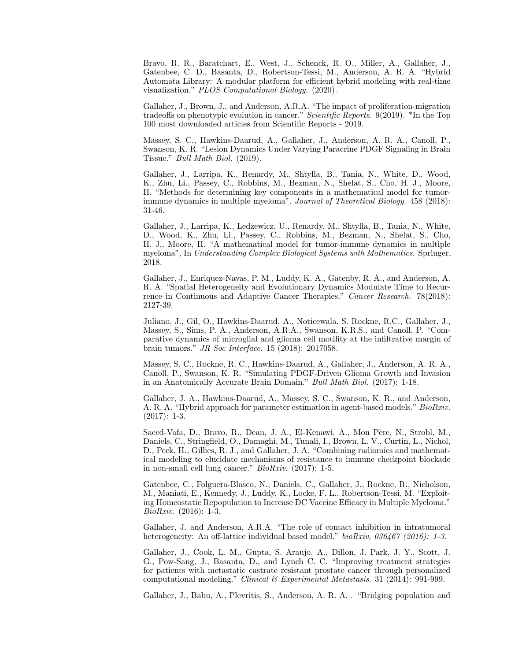Bravo, R. R., Baratchart, E., West, J., Schenck, R. O., Miller, A., Gallaher, J., Gatenbee, C. D., Basanta, D., Robertson-Tessi, M., Anderson, A. R. A. "Hybrid Automata Library: A modular platform for efficient hybrid modeling with real-time visualization." PLOS Computational Biology. (2020).

Gallaher, J., Brown, J., and Anderson, A.R.A. "The impact of proliferation-migration tradeoffs on phenotypic evolution in cancer." Scientific Reports. 9(2019). \*In the Top 100 most downloaded articles from Scientific Reports - 2019.

Massey, S. C., Hawkins-Daarud, A., Gallaher, J., Anderson, A. R. A., Canoll, P., Swanson, K. R. "Lesion Dynamics Under Varying Paracrine PDGF Signaling in Brain Tissue." Bull Math Biol. (2019).

Gallaher, J., Larripa, K., Renardy, M., Shtylla, B., Tania, N., White, D., Wood, K., Zhu, Li., Passey, C., Robbins, M., Bezman, N., Shelat, S., Cho, H. J., Moore, H. "Methods for determining key components in a mathematical model for tumorimmune dynamics in multiple myeloma", Journal of Theoretical Biology. 458 (2018): 31-46.

Gallaher, J., Larripa, K., Ledzewicz, U., Renardy, M., Shtylla, B., Tania, N., White, D., Wood, K., Zhu, Li., Passey, C., Robbins, M., Bezman, N., Shelat, S., Cho, H. J., Moore, H. "A mathematical model for tumor-immune dynamics in multiple myeloma", In Understanding Complex Biological Systems with Mathematics. Springer, 2018.

Gallaher, J., Enriquez-Navas, P. M., Luddy, K. A., Gatenby, R. A., and Anderson, A. R. A. "Spatial Heterogeneity and Evolutionary Dynamics Modulate Time to Recurrence in Continuous and Adaptive Cancer Therapies." Cancer Research. 78(2018): 2127-39.

Juliano, J., Gil, O., Hawkins-Daarud, A., Noticewala, S. Rockne, R.C., Gallaher, J., Massey, S., Sims, P. A., Anderson, A.R.A., Swanson, K.R.S., and Canoll, P. "Comparative dynamics of microglial and glioma cell motility at the infiltrative margin of brain tumors." JR Soc Interface. 15 (2018): 2017058.

Massey, S. C., Rockne, R. C., Hawkins-Daarud, A., Gallaher, J., Anderson, A. R. A., Canoll, P., Swanson, K. R. "Simulating PDGF-Driven Glioma Growth and Invasion in an Anatomically Accurate Brain Domain." Bull Math Biol. (2017): 1-18.

Gallaher, J. A., Hawkins-Daarud, A., Massey, S. C., Swanson, K. R., and Anderson, A. R. A. "Hybrid approach for parameter estimation in agent-based models." BioRxiv. (2017): 1-3.

Saeed-Vafa, D., Bravo, R., Dean, J. A., El-Kenawi, A., Mon Père, N., Strobl, M., Daniels, C., Stringfield, O., Damaghi, M., Tunali, I., Brown, L. V., Curtin, L., Nichol, D., Peck, H., Gillies, R. J., and Gallaher, J. A. "Combining radiomics and mathematical modeling to elucidate mechanisms of resistance to immune checkpoint blockade in non-small cell lung cancer." BioRxiv. (2017): 1-5.

Gatenbee, C., Folguera-Blasco, N., Daniels, C., Gallaher, J., Rockne, R., Nicholson, M., Maniati, E., Kennedy, J., Luddy, K., Locke, F. L., Robertson-Tessi, M. "Exploiting Homeostatic Repopulation to Increase DC Vaccine Efficacy in Multiple Myeloma." BioRxiv. (2016): 1-3.

Gallaher, J. and Anderson, A.R.A. "The role of contact inhibition in intratumoral heterogeneity: An off-lattice individual based model." bioRxiv, 036467 (2016): 1-3.

Gallaher, J., Cook, L. M., Gupta, S. Araujo, A., Dillon, J. Park, J. Y., Scott, J. G., Pow-Sang, J., Basanta, D., and Lynch C. C. "Improving treatment strategies for patients with metastatic castrate resistant prostate cancer through personalized computational modeling." Clinical & Experimental Metastasis. 31 (2014): 991-999.

Gallaher, J., Babu, A., Plevritis, S., Anderson, A. R. A. . "Bridging population and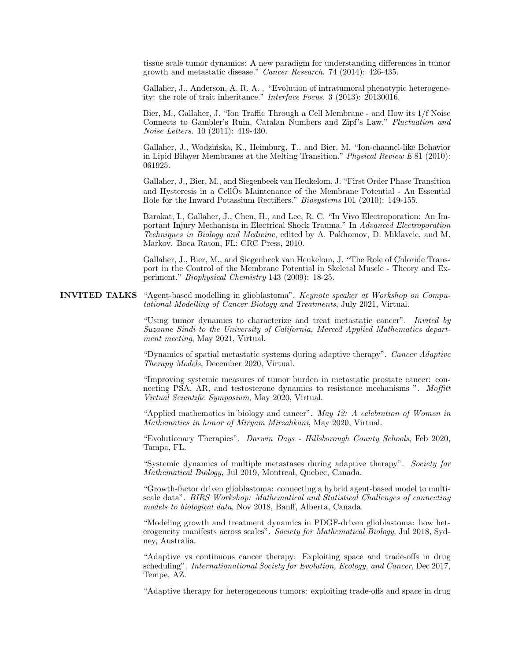tissue scale tumor dynamics: A new paradigm for understanding differences in tumor growth and metastatic disease." Cancer Research. 74 (2014): 426-435.

Gallaher, J., Anderson, A. R. A. . "Evolution of intratumoral phenotypic heterogeneity: the role of trait inheritance." Interface Focus. 3 (2013): 20130016.

Bier, M., Gallaher, J. "Ion Traffic Through a Cell Membrane - and How its 1/f Noise Connects to Gambler's Ruin, Catalan Numbers and Zipf's Law." Fluctuation and Noise Letters. 10 (2011): 419-430.

Gallaher, J., Wodzińska, K., Heimburg, T., and Bier, M. "Ion-channel-like Behavior in Lipid Bilayer Membranes at the Melting Transition." Physical Review E 81 (2010): 061925.

Gallaher, J., Bier, M., and Siegenbeek van Heukelom, J. "First Order Phase Transition and Hysteresis in a CellOs Maintenance of the Membrane Potential - An Essential Role for the Inward Potassium Rectifiers." Biosystems 101 (2010): 149-155.

Barakat, I., Gallaher, J., Chen, H., and Lee, R. C. "In Vivo Electroporation: An Important Injury Mechanism in Electrical Shock Trauma." In Advanced Electroporation Techniques in Biology and Medicine, edited by A. Pakhomov, D. Miklavcic, and M. Markov. Boca Raton, FL: CRC Press, 2010.

Gallaher, J., Bier, M., and Siegenbeek van Heukelom, J. "The Role of Chloride Transport in the Control of the Membrane Potential in Skeletal Muscle - Theory and Experiment." Biophysical Chemistry 143 (2009): 18-25.

INVITED TALKS "Agent-based modelling in glioblastoma". Keynote speaker at Workshop on Computational Modelling of Cancer Biology and Treatments, July 2021, Virtual.

> "Using tumor dynamics to characterize and treat metastatic cancer". Invited by Suzanne Sindi to the University of California, Merced Applied Mathematics department meeting, May 2021, Virtual.

> "Dynamics of spatial metastatic systems during adaptive therapy". Cancer Adaptive Therapy Models, December 2020, Virtual.

> "Improving systemic measures of tumor burden in metastatic prostate cancer: connecting PSA, AR, and testosterone dynamics to resistance mechanisms ". Moffitt Virtual Scientific Symposium, May 2020, Virtual.

> "Applied mathematics in biology and cancer". May 12: A celebration of Women in Mathematics in honor of Miryam Mirzahkani, May 2020, Virtual.

> "Evolutionary Therapies". Darwin Days - Hillsborough County Schools, Feb 2020, Tampa, FL.

> "Systemic dynamics of multiple metastases during adaptive therapy". Society for Mathematical Biology, Jul 2019, Montreal, Quebec, Canada.

> "Growth-factor driven glioblastoma: connecting a hybrid agent-based model to multiscale data". BIRS Workshop: Mathematical and Statistical Challenges of connecting models to biological data, Nov 2018, Banff, Alberta, Canada.

> "Modeling growth and treatment dynamics in PDGF-driven glioblastoma: how heterogeneity manifests across scales". Society for Mathematical Biology, Jul 2018, Sydney, Australia.

> "Adaptive vs continuous cancer therapy: Exploiting space and trade-offs in drug scheduling". Internationational Society for Evolution, Ecology, and Cancer, Dec 2017, Tempe, AZ.

> "Adaptive therapy for heterogeneous tumors: exploiting trade-offs and space in drug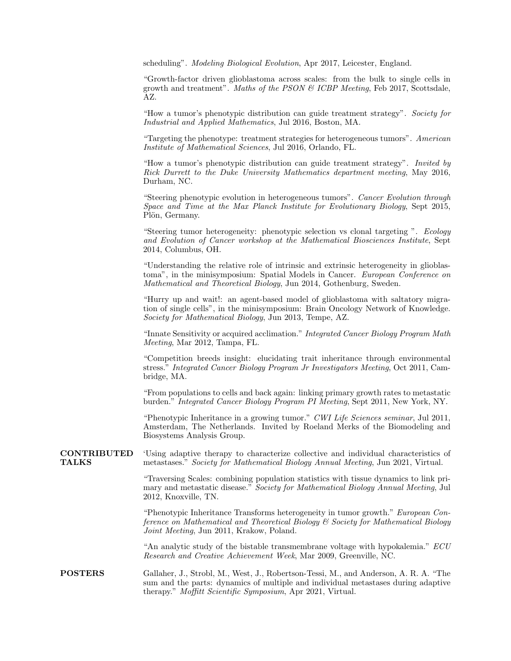scheduling". Modeling Biological Evolution, Apr 2017, Leicester, England.

"Growth-factor driven glioblastoma across scales: from the bulk to single cells in growth and treatment". Maths of the PSON  $\mathcal{B}$  ICBP Meeting, Feb 2017, Scottsdale, AZ.

"How a tumor's phenotypic distribution can guide treatment strategy". Society for Industrial and Applied Mathematics, Jul 2016, Boston, MA.

"Targeting the phenotype: treatment strategies for heterogeneous tumors". American Institute of Mathematical Sciences, Jul 2016, Orlando, FL.

"How a tumor's phenotypic distribution can guide treatment strategy". Invited by Rick Durrett to the Duke University Mathematics department meeting, May 2016, Durham, NC.

"Steering phenotypic evolution in heterogeneous tumors". Cancer Evolution through Space and Time at the Max Planck Institute for Evolutionary Biology, Sept 2015, Plön, Germany.

"Steering tumor heterogeneity: phenotypic selection vs clonal targeting ". Ecology and Evolution of Cancer workshop at the Mathematical Biosciences Institute, Sept 2014, Columbus, OH.

"Understanding the relative role of intrinsic and extrinsic heterogeneity in glioblastoma", in the minisymposium: Spatial Models in Cancer. European Conference on Mathematical and Theoretical Biology, Jun 2014, Gothenburg, Sweden.

"Hurry up and wait!: an agent-based model of glioblastoma with saltatory migration of single cells", in the minisymposium: Brain Oncology Network of Knowledge. Society for Mathematical Biology, Jun 2013, Tempe, AZ.

"Innate Sensitivity or acquired acclimation." Integrated Cancer Biology Program Math Meeting, Mar 2012, Tampa, FL.

"Competition breeds insight: elucidating trait inheritance through environmental stress." Integrated Cancer Biology Program Jr Investigators Meeting, Oct 2011, Cambridge, MA.

"From populations to cells and back again: linking primary growth rates to metastatic burden." Integrated Cancer Biology Program PI Meeting, Sept 2011, New York, NY.

"Phenotypic Inheritance in a growing tumor." CWI Life Sciences seminar, Jul 2011, Amsterdam, The Netherlands. Invited by Roeland Merks of the Biomodeling and Biosystems Analysis Group.

**CONTRIBUTED** TALKS 'Using adaptive therapy to characterize collective and individual characteristics of metastases." Society for Mathematical Biology Annual Meeting, Jun 2021, Virtual.

> "Traversing Scales: combining population statistics with tissue dynamics to link primary and metastatic disease." Society for Mathematical Biology Annual Meeting, Jul 2012, Knoxville, TN.

> "Phenotypic Inheritance Transforms heterogeneity in tumor growth." European Conference on Mathematical and Theoretical Biology & Society for Mathematical Biology Joint Meeting, Jun 2011, Krakow, Poland.

> "An analytic study of the bistable transmembrane voltage with hypokalemia." ECU Research and Creative Achievement Week, Mar 2009, Greenville, NC.

POSTERS Gallaher, J., Strobl, M., West, J., Robertson-Tessi, M., and Anderson, A. R. A. "The sum and the parts: dynamics of multiple and individual metastases during adaptive therapy." Moffitt Scientific Symposium, Apr 2021, Virtual.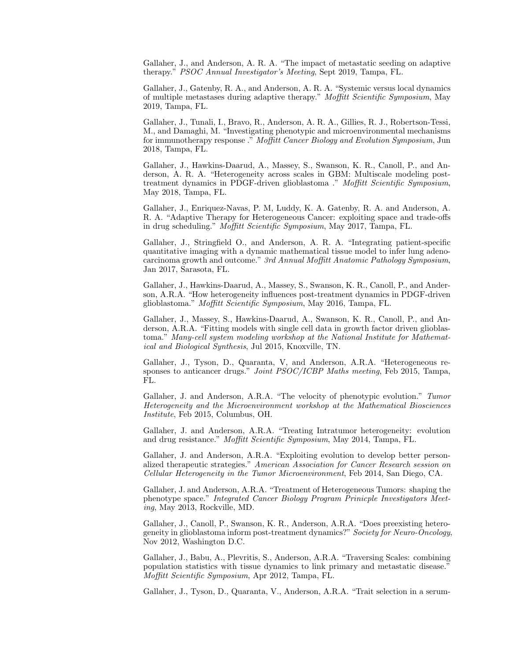Gallaher, J., and Anderson, A. R. A. "The impact of metastatic seeding on adaptive therapy." PSOC Annual Investigator's Meeting, Sept 2019, Tampa, FL.

Gallaher, J., Gatenby, R. A., and Anderson, A. R. A. "Systemic versus local dynamics of multiple metastases during adaptive therapy." Moffitt Scientific Symposium, May 2019, Tampa, FL.

Gallaher, J., Tunali, I., Bravo, R., Anderson, A. R. A., Gillies, R. J., Robertson-Tessi, M., and Damaghi, M. "Investigating phenotypic and microenvironmental mechanisms for immunotherapy response ." Moffitt Cancer Biology and Evolution Symposium, Jun 2018, Tampa, FL.

Gallaher, J., Hawkins-Daarud, A., Massey, S., Swanson, K. R., Canoll, P., and Anderson, A. R. A. "Heterogeneity across scales in GBM: Multiscale modeling posttreatment dynamics in PDGF-driven glioblastoma ." Moffitt Scientific Symposium, May 2018, Tampa, FL.

Gallaher, J., Enriquez-Navas, P. M, Luddy, K. A. Gatenby, R. A. and Anderson, A. R. A. "Adaptive Therapy for Heterogeneous Cancer: exploiting space and trade-offs in drug scheduling." Moffitt Scientific Symposium, May 2017, Tampa, FL.

Gallaher, J., Stringfield O., and Anderson, A. R. A. "Integrating patient-specific quantitative imaging with a dynamic mathematical tissue model to infer lung adenocarcinoma growth and outcome." 3rd Annual Moffitt Anatomic Pathology Symposium, Jan 2017, Sarasota, FL.

Gallaher, J., Hawkins-Daarud, A., Massey, S., Swanson, K. R., Canoll, P., and Anderson, A.R.A. "How heterogeneity influences post-treatment dynamics in PDGF-driven glioblastoma." Moffitt Scientific Symposium, May 2016, Tampa, FL.

Gallaher, J., Massey, S., Hawkins-Daarud, A., Swanson, K. R., Canoll, P., and Anderson, A.R.A. "Fitting models with single cell data in growth factor driven glioblastoma." Many-cell system modeling workshop at the National Institute for Mathematical and Biological Synthesis, Jul 2015, Knoxville, TN.

Gallaher, J., Tyson, D., Quaranta, V, and Anderson, A.R.A. "Heterogeneous responses to anticancer drugs." Joint PSOC/ICBP Maths meeting, Feb 2015, Tampa, FL.

Gallaher, J. and Anderson, A.R.A. "The velocity of phenotypic evolution." Tumor Heterogeneity and the Microenvironment workshop at the Mathematical Biosciences Institute, Feb 2015, Columbus, OH.

Gallaher, J. and Anderson, A.R.A. "Treating Intratumor heterogeneity: evolution and drug resistance." Moffitt Scientific Symposium, May 2014, Tampa, FL.

Gallaher, J. and Anderson, A.R.A. "Exploiting evolution to develop better personalized therapeutic strategies." American Association for Cancer Research session on Cellular Heterogeneity in the Tumor Microenvironment, Feb 2014, San Diego, CA.

Gallaher, J. and Anderson, A.R.A. "Treatment of Heterogeneous Tumors: shaping the phenotype space." Integrated Cancer Biology Program Prinicple Investigators Meeting, May 2013, Rockville, MD.

Gallaher, J., Canoll, P., Swanson, K. R., Anderson, A.R.A. "Does preexisting heterogeneity in glioblastoma inform post-treatment dynamics?" Society for Neuro-Oncology, Nov 2012, Washington D.C.

Gallaher, J., Babu, A., Plevritis, S., Anderson, A.R.A. "Traversing Scales: combining population statistics with tissue dynamics to link primary and metastatic disease." Moffitt Scientific Symposium, Apr 2012, Tampa, FL.

Gallaher, J., Tyson, D., Quaranta, V., Anderson, A.R.A. "Trait selection in a serum-